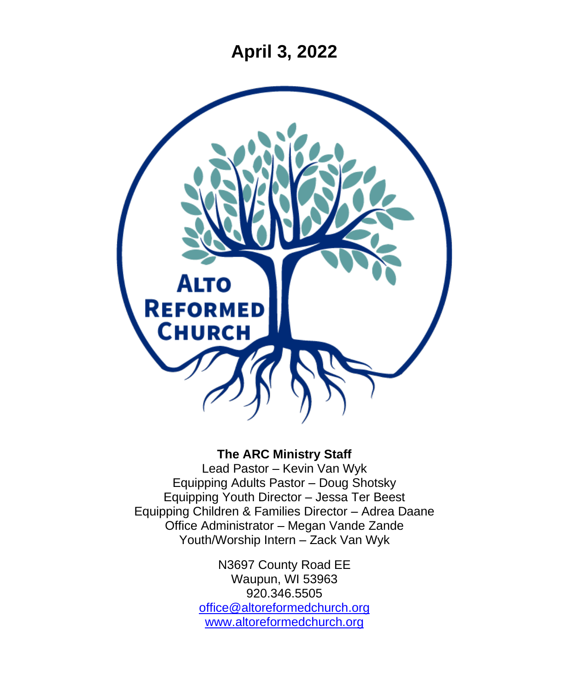**April 3, 2022**



## **The ARC Ministry Staff**

Lead Pastor – Kevin Van Wyk Equipping Adults Pastor – Doug Shotsky Equipping Youth Director – Jessa Ter Beest Equipping Children & Families Director – Adrea Daane Office Administrator – Megan Vande Zande Youth/Worship Intern – Zack Van Wyk

> N3697 County Road EE Waupun, WI 53963 920.346.5505 [office@altoreformedchurch.org](mailto:office@altoreformedchurch.org) [www.altoreformedchurch.org](http://www.altoreformedchurch.org/)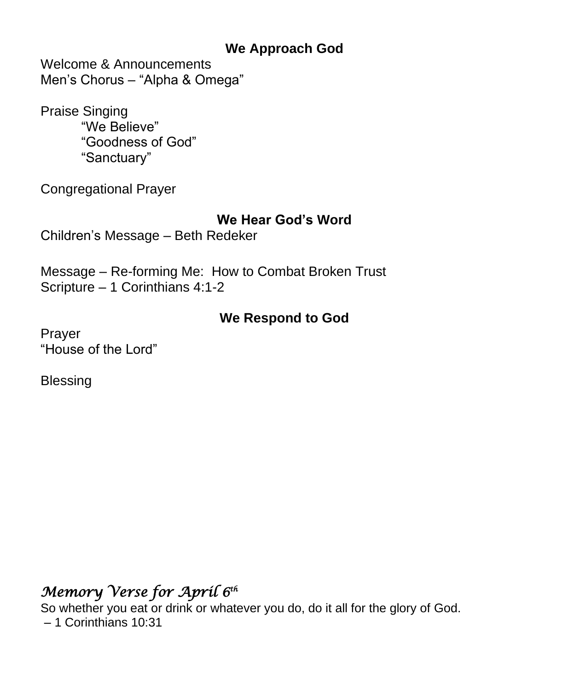## **We Approach God**

Welcome & Announcements Men's Chorus – "Alpha & Omega"

Praise Singing "We Believe" "Goodness of God" "Sanctuary"

Congregational Prayer

## **We Hear God's Word**

Children's Message – Beth Redeker

Message – Re-forming Me: How to Combat Broken Trust Scripture – 1 Corinthians 4:1-2

# **We Respond to God**

Prayer "House of the Lord"

**Blessing** 

# *Memory Verse for April 6th*

So whether you eat or drink or whatever you do, do it all for the glory of God. – 1 Corinthians 10:31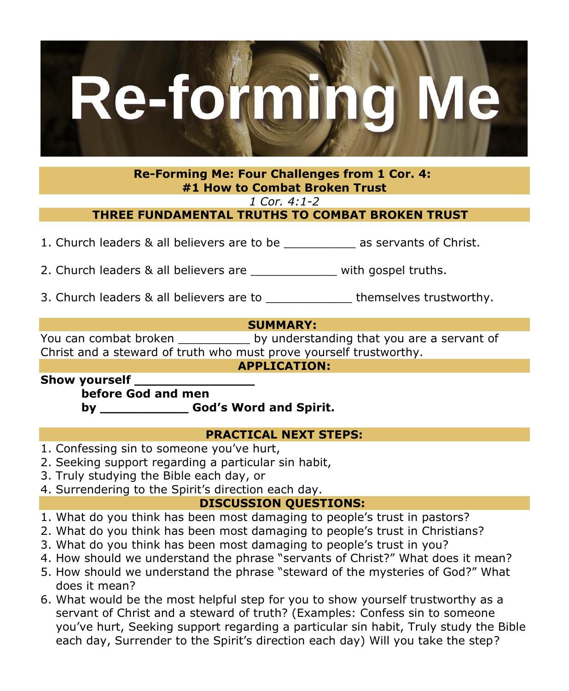

**Re-Forming Me: Four Challenges from 1 Cor. 4: #1 How to Combat Broken Trust**

*1 Cor. 4:1-2*

**THREE FUNDAMENTAL TRUTHS TO COMBAT BROKEN TRUST** 

1. Church leaders & all believers are to be \_\_\_\_\_\_\_\_\_\_ as servants of Christ.

2. Church leaders & all believers are \_\_\_\_\_\_\_\_\_\_\_\_\_\_ with gospel truths.

3. Church leaders & all believers are to entity themselves trustworthy.

### **SUMMARY:**

You can combat broken \_\_\_\_\_\_\_\_\_\_\_\_ by understanding that you are a servant of Christ and a steward of truth who must prove yourself trustworthy.

#### **APPLICATION:**

**Show yourself \_\_\_\_\_\_\_\_\_\_\_\_\_\_\_**

**before God and men**

**by \_\_\_\_\_\_\_\_\_\_\_ God's Word and Spirit.**

### **PRACTICAL NEXT STEPS:**

- 1. Confessing sin to someone you've hurt,
- 2. Seeking support regarding a particular sin habit,
- 3. Truly studying the Bible each day, or
- 4. Surrendering to the Spirit's direction each day.

## **DISCUSSION QUESTIONS:**

- 1. What do you think has been most damaging to people's trust in pastors?
- 2. What do you think has been most damaging to people's trust in Christians?
- 3. What do you think has been most damaging to people's trust in you?
- 4. How should we understand the phrase "servants of Christ?" What does it mean?
- 5. How should we understand the phrase "steward of the mysteries of God?" What does it mean?
- 6. What would be the most helpful step for you to show yourself trustworthy as a servant of Christ and a steward of truth? (Examples: Confess sin to someone you've hurt, Seeking support regarding a particular sin habit, Truly study the Bible each day, Surrender to the Spirit's direction each day) Will you take the step?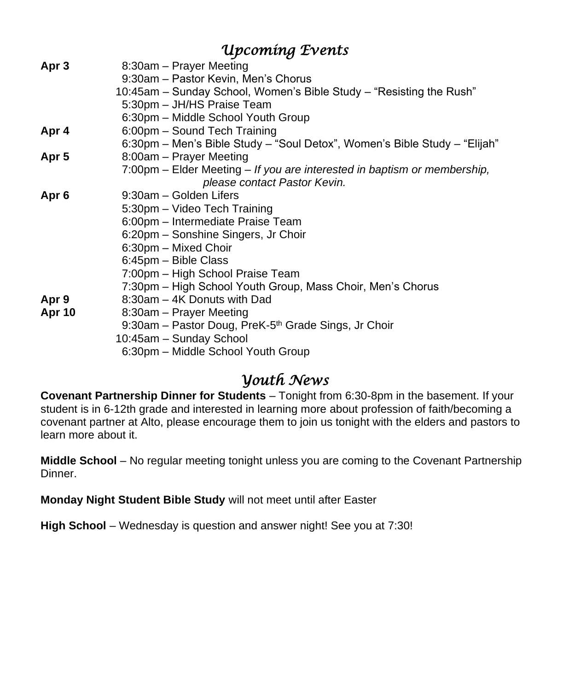|                  | <i><b>Upcoming Events</b></i>                                             |
|------------------|---------------------------------------------------------------------------|
| Apr <sub>3</sub> | 8:30am - Prayer Meeting                                                   |
|                  | 9:30am - Pastor Kevin, Men's Chorus                                       |
|                  | 10:45am – Sunday School, Women's Bible Study – "Resisting the Rush"       |
|                  | 5:30pm - JH/HS Praise Team                                                |
|                  | 6:30pm - Middle School Youth Group                                        |
| Apr 4            | 6:00pm - Sound Tech Training                                              |
|                  | 6:30pm - Men's Bible Study - "Soul Detox", Women's Bible Study - "Elijah" |
| Apr <sub>5</sub> | 8:00am – Prayer Meeting                                                   |
|                  | 7:00pm – Elder Meeting – If you are interested in baptism or membership,  |
|                  | please contact Pastor Kevin.                                              |
| Apr <sub>6</sub> | 9:30am – Golden Lifers                                                    |
|                  | 5:30pm - Video Tech Training                                              |
|                  | 6:00pm - Intermediate Praise Team                                         |
|                  | 6:20pm - Sonshine Singers, Jr Choir                                       |
|                  | 6:30pm - Mixed Choir                                                      |
|                  | 6:45pm - Bible Class                                                      |
|                  | 7:00pm - High School Praise Team                                          |
|                  | 7:30pm - High School Youth Group, Mass Choir, Men's Chorus                |
| Apr 9            | 8:30am – 4K Donuts with Dad                                               |
| <b>Apr 10</b>    | 8:30am – Prayer Meeting                                                   |
|                  | 9:30am - Pastor Doug, PreK-5 <sup>th</sup> Grade Sings, Jr Choir          |
|                  | 10:45am - Sunday School                                                   |
|                  | 6:30pm - Middle School Youth Group                                        |

# *Youth News*

**Covenant Partnership Dinner for Students** – Tonight from 6:30-8pm in the basement. If your student is in 6-12th grade and interested in learning more about profession of faith/becoming a covenant partner at Alto, please encourage them to join us tonight with the elders and pastors to learn more about it.

**Middle School** – No regular meeting tonight unless you are coming to the Covenant Partnership Dinner.

**Monday Night Student Bible Study** will not meet until after Easter

**High School** – Wednesday is question and answer night! See you at 7:30!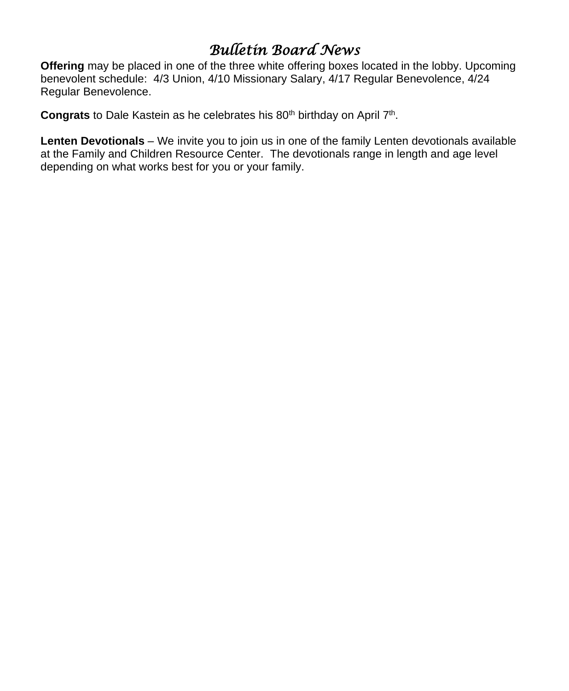# *Bulletin Board News*

**Offering** may be placed in one of the three white offering boxes located in the lobby. Upcoming benevolent schedule: 4/3 Union, 4/10 Missionary Salary, 4/17 Regular Benevolence, 4/24 Regular Benevolence.

Congrats to Dale Kastein as he celebrates his 80<sup>th</sup> birthday on April 7<sup>th</sup>.

**Lenten Devotionals** – We invite you to join us in one of the family Lenten devotionals available at the Family and Children Resource Center. The devotionals range in length and age level depending on what works best for you or your family.